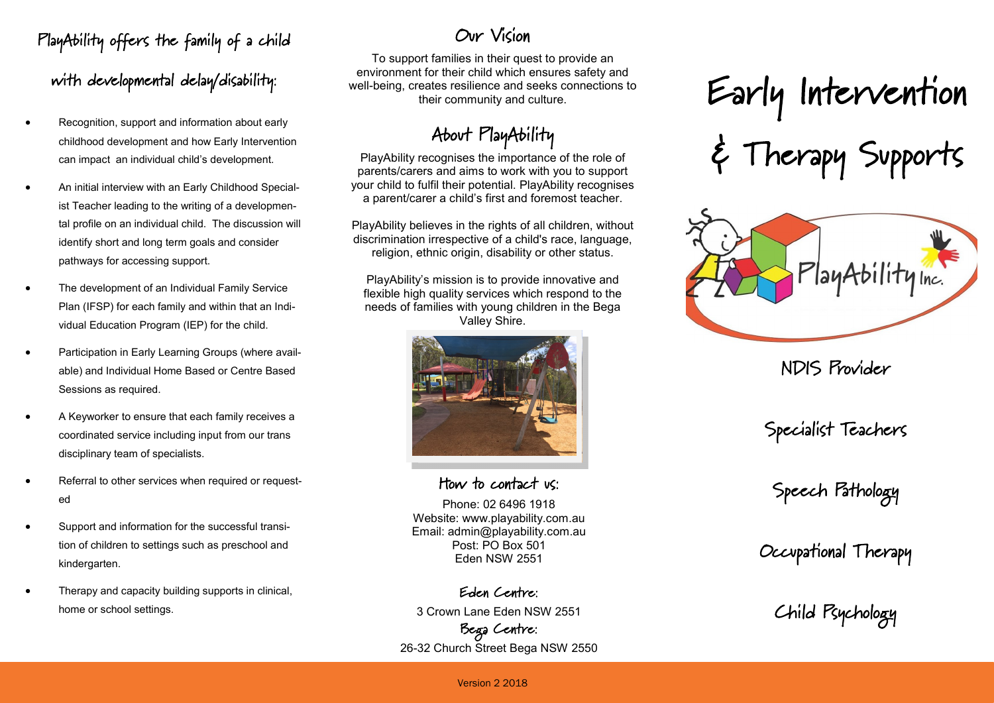## PlayAbility offers the family of a child

with developmental delay/disability:

- Recognition, support and information about early childhood development and how Early Intervention can impact an individual child's development.
- An initial interview with an Early Childhood Specialist Teacher leading to the writing of a developmental profile on an individual child. The discussion will identify short and long term goals and consider pathways for accessing support.
- The development of an Individual Family Service Plan (IFSP) for each family and within that an Individual Education Program (IEP) for the child.
- Participation in Early Learning Groups (where available) and Individual Home Based or Centre Based Sessions as required.
- A Keyworker to ensure that each family receives a coordinated service including input from our trans disciplinary team of specialists.
- Referral to other services when required or requested
- Support and information for the successful transition of children to settings such as preschool and kindergarten.
- Therapy and capacity building supports in clinical, home or school settings.

#### Our Vision

To support families in their quest to provide an environment for their child which ensures safety and well-being, creates resilience and seeks connections to their community and culture.

### About PlayAbility

PlayAbility recognises the importance of the role of parents/carers and aims to work with you to support your child to fulfil their potential. PlayAbility recognises a parent/carer a child's first and foremost teacher.

PlayAbility believes in the rights of all children, without discrimination irrespective of a child's race, language, religion, ethnic origin, disability or other status.

PlayAbility's mission is to provide innovative and flexible high quality services which respond to the needs of families with young children in the Bega Valley Shire.



How to contact us:

Phone: 02 6496 1918 Website: www.playability.com.au Email: admin@playability.com.au Post: PO Box 501 Eden NSW 2551

Eden Centre: 3 Crown Lane Eden NSW 2551 Bega Centre: 26-32 Church Street Bega NSW 2550

# Early Intervention & Therapy Supports



NDIS Provider

Specialist Teachers

Speech Pathology

Occupational Therapy

Child Psychology